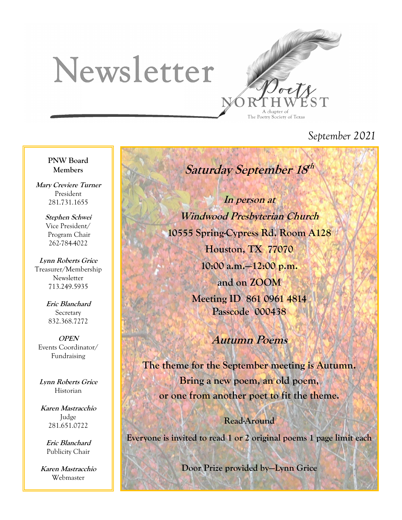# Newsletter



*September 2021*

**PNW Board Members**

**Mary Creviere Turner** President 281.731.1655

> **Stephen Schwei** Vice President/ Program Chair 262-784-4022

**Lynn Roberts Grice** Treasurer/Membership Newsletter 713.249.5935

> **Eric Blanchard Secretary** 832.368.7272

**OPEN** Events Coordinator/ Fundraising

**Lynn Roberts Grice** Historian

**Karen Mastracchio** Judge 281.651.0722

> **Eric Blanchard** Publicity Chair

**Karen Mastracchio** Webmaster

**Saturday September 18 th**

**In person at Windwood Presbyterian Church 10555 Spring-Cypress Rd. Room A128 Houston, TX 77070 10:00 a.m.—12:00 p.m. and on ZOOM Meeting ID 861 0961 4814 Passcode 000438**

### **Autumn Poems**

**The theme for the September meeting is Autumn. Bring a new poem, an old poem, or one from another poet to fit the theme.** 

**Read-Around Everyone is invited to read 1 or 2 original poems 1 page limit each**

**Door Prize provided by—Lynn Grice**